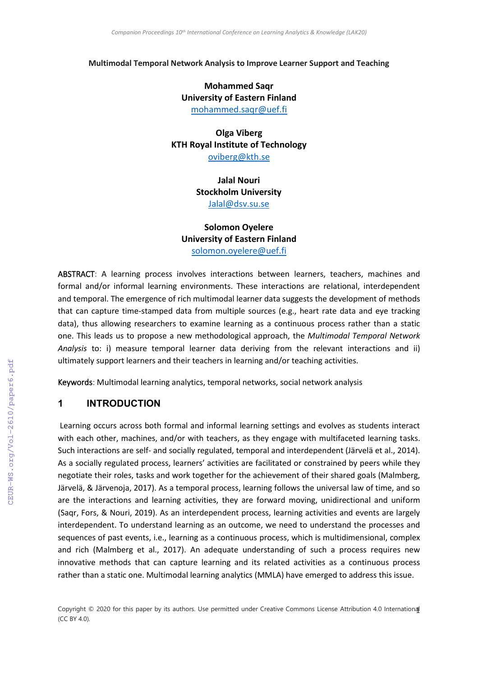#### **Multimodal Temporal Network Analysis to Improve Learner Support and Teaching**

# **Mohammed Saqr University of Eastern Finland**

[mohammed.saqr@uef.fi](mailto:mohammed.saqr@uef.fi)

**Olga Viberg KTH Royal Institute of Technology** [oviberg@kth.se](mailto:oviberg@kth.se)

> **Jalal Nouri Stockholm University** [Jalal@dsv.su.se](mailto:Jalal@dsv.su.se)

**Solomon Oyelere University of Eastern Finland** [solomon.oyelere@uef.fi](mailto:solomon.oyelere@uef.fi)

ABSTRACT: A learning process involves interactions between learners, teachers, machines and formal and/or informal learning environments. These interactions are relational, interdependent and temporal. The emergence of rich multimodal learner data suggests the development of methods that can capture time-stamped data from multiple sources (e.g., heart rate data and eye tracking data), thus allowing researchers to examine learning as a continuous process rather than a static one. This leads us to propose a new methodological approach, the *Multimodal Temporal Network Analysis* to: i) measure temporal learner data deriving from the relevant interactions and ii) ultimately support learners and their teachers in learning and/or teaching activities.

Keywords: Multimodal learning analytics, temporal networks, social network analysis

### **1 INTRODUCTION**

Learning occurs across both formal and informal learning settings and evolves as students interact with each other, machines, and/or with teachers, as they engage with multifaceted learning tasks. Such interactions are self- and socially regulated, temporal and interdependent (Järvelä et al., 2014). As a socially regulated process, learners' activities are facilitated or constrained by peers while they negotiate their roles, tasks and work together for the achievement of their shared goals (Malmberg, Järvelä, & Järvenoja, 2017). As a temporal process, learning follows the universal law of time, and so are the interactions and learning activities, they are forward moving, unidirectional and uniform (Saqr, Fors, & Nouri, 2019). As an interdependent process, learning activities and events are largely interdependent. To understand learning as an outcome, we need to understand the processes and sequences of past events, i.e., learning as a continuous process, which is multidimensional, complex and rich (Malmberg et al., 2017). An adequate understanding of such a process requires new innovative methods that can capture learning and its related activities as a continuous process rather than a static one. Multimodal learning analytics (MMLA) have emerged to address this issue.

Copyright © 2020 for this paper by its authors. Use permitted under Creative Commons License Attribution 4.0 International (CC BY 4.0).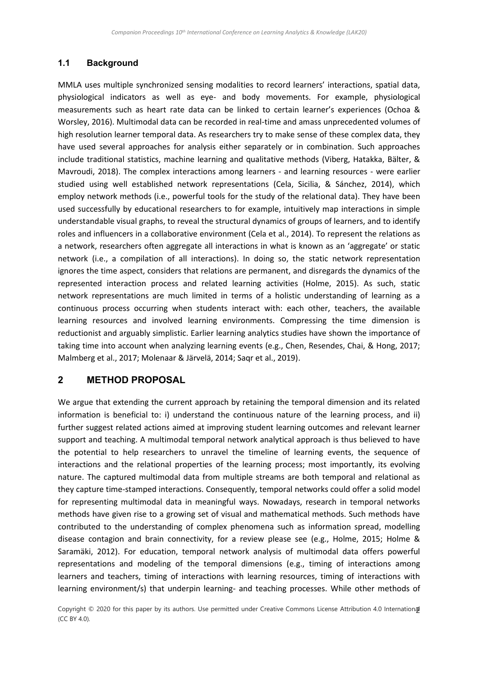## **1.1 Background**

MMLA uses multiple synchronized sensing modalities to record learners' interactions, spatial data, physiological indicators as well as eye- and body movements. For example, physiological measurements such as heart rate data can be linked to certain learner's experiences (Ochoa & Worsley, 2016). Multimodal data can be recorded in real-time and amass unprecedented volumes of high resolution learner temporal data. As researchers try to make sense of these complex data, they have used several approaches for analysis either separately or in combination. Such approaches include traditional statistics, machine learning and qualitative methods (Viberg, Hatakka, Bälter, & Mavroudi, 2018). The complex interactions among learners - and learning resources - were earlier studied using well established network representations (Cela, Sicilia, & Sánchez, 2014), which employ network methods (i.e., powerful tools for the study of the relational data). They have been used successfully by educational researchers to for example, intuitively map interactions in simple understandable visual graphs, to reveal the structural dynamics of groups of learners, and to identify roles and influencers in a collaborative environment (Cela et al., 2014). To represent the relations as a network, researchers often aggregate all interactions in what is known as an 'aggregate' or static network (i.e., a compilation of all interactions). In doing so, the static network representation ignores the time aspect, considers that relations are permanent, and disregards the dynamics of the represented interaction process and related learning activities (Holme, 2015). As such, static network representations are much limited in terms of a holistic understanding of learning as a continuous process occurring when students interact with: each other, teachers, the available learning resources and involved learning environments. Compressing the time dimension is reductionist and arguably simplistic. Earlier learning analytics studies have shown the importance of taking time into account when analyzing learning events (e.g., Chen, Resendes, Chai, & Hong, 2017; Malmberg et al., 2017; Molenaar & Järvelä, 2014; Saqr et al., 2019).

## **2 METHOD PROPOSAL**

We argue that extending the current approach by retaining the temporal dimension and its related information is beneficial to: i) understand the continuous nature of the learning process, and ii) further suggest related actions aimed at improving student learning outcomes and relevant learner support and teaching. A multimodal temporal network analytical approach is thus believed to have the potential to help researchers to unravel the timeline of learning events, the sequence of interactions and the relational properties of the learning process; most importantly, its evolving nature. The captured multimodal data from multiple streams are both temporal and relational as they capture time-stamped interactions. Consequently, temporal networks could offer a solid model for representing multimodal data in meaningful ways. Nowadays, research in temporal networks methods have given rise to a growing set of visual and mathematical methods. Such methods have contributed to the understanding of complex phenomena such as information spread, modelling disease contagion and brain connectivity, for a review please see (e.g., Holme, 2015; Holme & Saramäki, 2012). For education, temporal network analysis of multimodal data offers powerful representations and modeling of the temporal dimensions (e.g., timing of interactions among learners and teachers, timing of interactions with learning resources, timing of interactions with learning environment/s) that underpin learning- and teaching processes. While other methods of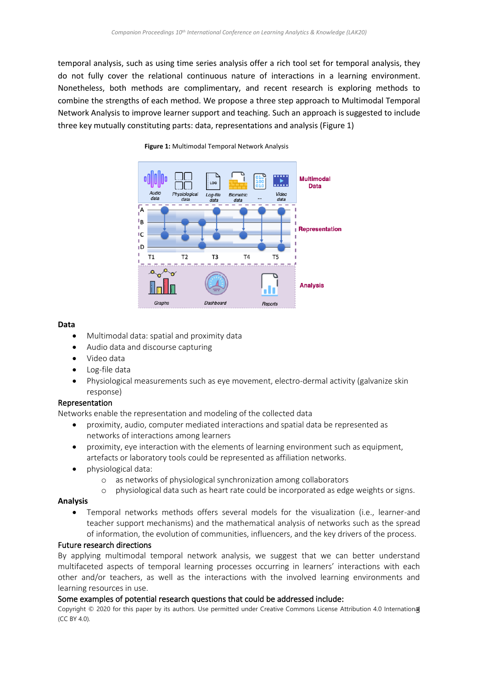temporal analysis, such as using time series analysis offer a rich tool set for temporal analysis, they do not fully cover the relational continuous nature of interactions in a learning environment. Nonetheless, both methods are complimentary, and recent research is exploring methods to combine the strengths of each method. We propose a three step approach to Multimodal Temporal Network Analysis to improve learner support and teaching. Such an approach is suggested to include three key mutually constituting parts: data, representations and analysis (Figure 1)



#### **Figure 1:** Multimodal Temporal Network Analysis

#### **Data**

- Multimodal data: spatial and proximity data
- Audio data and discourse capturing
- Video data
- Log-file data
- Physiological measurements such as eye movement, electro-dermal activity (galvanize skin response)

### Representation

Networks enable the representation and modeling of the collected data

- proximity, audio, computer mediated interactions and spatial data be represented as networks of interactions among learners
- proximity, eye interaction with the elements of learning environment such as equipment, artefacts or laboratory tools could be represented as affiliation networks.
- physiological data:
	- o as networks of physiological synchronization among collaborators
	- o physiological data such as heart rate could be incorporated as edge weights or signs.

### **Analysis**

• Temporal networks methods offers several models for the visualization (i.e., learner-and teacher support mechanisms) and the mathematical analysis of networks such as the spread of information, the evolution of communities, influencers, and the key drivers of the process.

### Future research directions

By applying multimodal temporal network analysis, we suggest that we can better understand multifaceted aspects of temporal learning processes occurring in learners' interactions with each other and/or teachers, as well as the interactions with the involved learning environments and learning resources in use.

### Some examples of potential research questions that could be addressed include:

Copyright © 2020 for this paper by its authors. Use permitted under Creative Commons License Attribution 4.0 Internation**a**J (CC BY 4.0).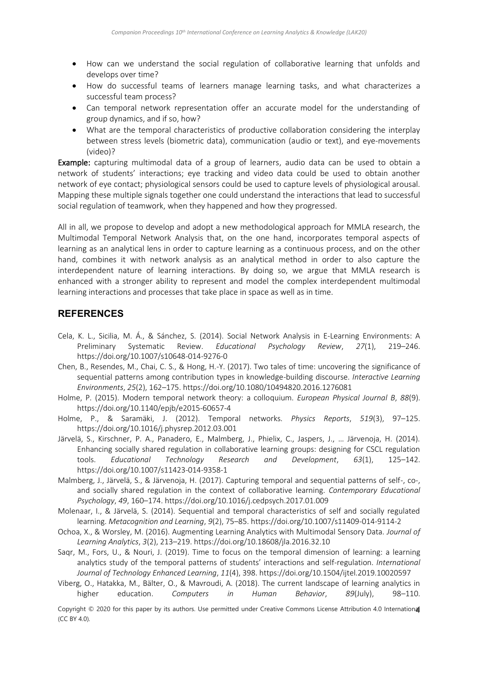- How can we understand the social regulation of collaborative learning that unfolds and develops over time?
- How do successful teams of learners manage learning tasks, and what characterizes a successful team process?
- Can temporal network representation offer an accurate model for the understanding of group dynamics, and if so, how?
- What are the temporal characteristics of productive collaboration considering the interplay between stress levels (biometric data), communication (audio or text), and eye-movements (video)?

Example: capturing multimodal data of a group of learners, audio data can be used to obtain a network of students' interactions; eye tracking and video data could be used to obtain another network of eye contact; physiological sensors could be used to capture levels of physiological arousal. Mapping these multiple signals together one could understand the interactions that lead to successful social regulation of teamwork, when they happened and how they progressed.

All in all, we propose to develop and adopt a new methodological approach for MMLA research, the Multimodal Temporal Network Analysis that, on the one hand, incorporates temporal aspects of learning as an analytical lens in order to capture learning as a continuous process, and on the other hand, combines it with network analysis as an analytical method in order to also capture the interdependent nature of learning interactions. By doing so, we argue that MMLA research is enhanced with a stronger ability to represent and model the complex interdependent multimodal learning interactions and processes that take place in space as well as in time.

# **REFERENCES**

- Cela, K. L., Sicilia, M. Á., & Sánchez, S. (2014). Social Network Analysis in E-Learning Environments: A Preliminary Systematic Review. *Educational Psychology Review*, *27*(1), 219–246. https://doi.org/10.1007/s10648-014-9276-0
- Chen, B., Resendes, M., Chai, C. S., & Hong, H.-Y. (2017). Two tales of time: uncovering the significance of sequential patterns among contribution types in knowledge-building discourse. *Interactive Learning Environments*, *25*(2), 162–175. https://doi.org/10.1080/10494820.2016.1276081
- Holme, P. (2015). Modern temporal network theory: a colloquium. *European Physical Journal B*, *88*(9). https://doi.org/10.1140/epjb/e2015-60657-4
- Holme, P., & Saramäki, J. (2012). Temporal networks. *Physics Reports*, *519*(3), 97–125. https://doi.org/10.1016/j.physrep.2012.03.001
- Järvelä, S., Kirschner, P. A., Panadero, E., Malmberg, J., Phielix, C., Jaspers, J., … Järvenoja, H. (2014). Enhancing socially shared regulation in collaborative learning groups: designing for CSCL regulation tools. *Educational Technology Research and Development*, *63*(1), 125–142. https://doi.org/10.1007/s11423-014-9358-1
- Malmberg, J., Järvelä, S., & Järvenoja, H. (2017). Capturing temporal and sequential patterns of self-, co-, and socially shared regulation in the context of collaborative learning. *Contemporary Educational Psychology*, *49*, 160–174. https://doi.org/10.1016/j.cedpsych.2017.01.009
- Molenaar, I., & Järvelä, S. (2014). Sequential and temporal characteristics of self and socially regulated learning. *Metacognition and Learning*, *9*(2), 75–85. https://doi.org/10.1007/s11409-014-9114-2
- Ochoa, X., & Worsley, M. (2016). Augmenting Learning Analytics with Multimodal Sensory Data. *Journal of Learning Analytics*, *3*(2), 213–219. https://doi.org/10.18608/jla.2016.32.10
- Saqr, M., Fors, U., & Nouri, J. (2019). Time to focus on the temporal dimension of learning: a learning analytics study of the temporal patterns of students' interactions and self-regulation. *International Journal of Technology Enhanced Learning*, *11*(4), 398. https://doi.org/10.1504/ijtel.2019.10020597
- Viberg, O., Hatakka, M., Bälter, O., & Mavroudi, A. (2018). The current landscape of learning analytics in higher education. *Computers in Human Behavior*, *89*(July), 98–110.

Copyright © 2020 for this paper by its authors. Use permitted under Creative Commons License Attribution 4.0 Internation $\bm{a}$ (CC BY 4.0).